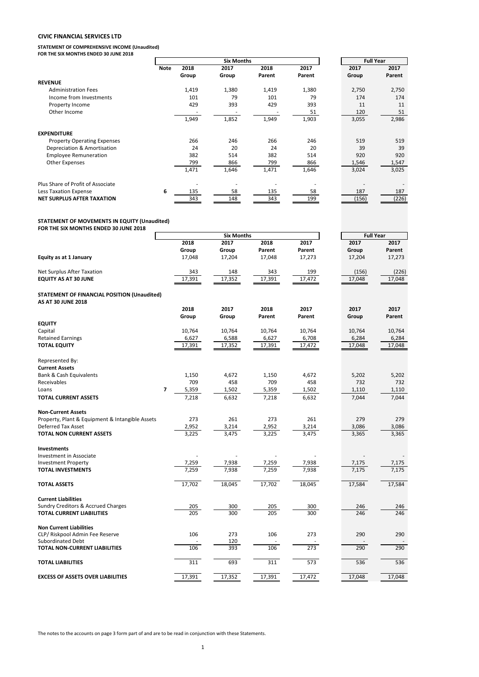# **CIVIC FINANCIAL SERVICES LTD**

**STATEMENT OF COMPREHENSIVE INCOME (Unaudited) FOR THE SIX MONTHS ENDED 30 JUNE 2018**

|                                    |      |       | <b>Six Months</b> |        | <b>Full Year</b> |       |        |
|------------------------------------|------|-------|-------------------|--------|------------------|-------|--------|
|                                    | Note | 2018  | 2017              | 2018   | 2017             | 2017  | 2017   |
|                                    |      | Group | Group             | Parent | Parent           | Group | Parent |
| <b>REVENUE</b>                     |      |       |                   |        |                  |       |        |
| <b>Administration Fees</b>         |      | 1,419 | 1,380             | 1,419  | 1,380            | 2,750 | 2,750  |
| Income from Investments            |      | 101   | 79                | 101    | 79               | 174   | 174    |
| Property Income                    |      | 429   | 393               | 429    | 393              | 11    | 11     |
| Other Income                       |      |       |                   |        | 51               | 120   | 51     |
|                                    |      | 1,949 | 1,852             | 1,949  | 1,903            | 3,055 | 2,986  |
| <b>EXPENDITURE</b>                 |      |       |                   |        |                  |       |        |
| <b>Property Operating Expenses</b> |      | 266   | 246               | 266    | 246              | 519   | 519    |
| Depreciation & Amortisation        |      | 24    | 20                | 24     | 20               | 39    | 39     |
| <b>Employee Remuneration</b>       |      | 382   | 514               | 382    | 514              | 920   | 920    |
| Other Expenses                     |      | 799   | 866               | 799    | 866              | 1,546 | 1,547  |
|                                    |      | 1,471 | 1,646             | 1,471  | 1,646            | 3,024 | 3,025  |
| Plus Share of Profit of Associate  |      |       |                   |        |                  |       |        |
| Less Taxation Expense              | 6    | 135   | 58                | 135    | 58               | 187   | 187    |
| <b>NET SURPLUS AFTER TAXATION</b>  |      | 343   | 148               | 343    | 199              | (156) | (226)  |

### **STATEMENT OF MOVEMENTS IN EQUITY (Unaudited)**

**FOR THE SIX MONTHS ENDED 30 JUNE 2018**

|                                                 |                         | <b>Six Months</b> | <b>Full Year</b> |        |        |        |
|-------------------------------------------------|-------------------------|-------------------|------------------|--------|--------|--------|
|                                                 | 2018                    | 2017              | 2018             | 2017   | 2017   | 2017   |
|                                                 | Group                   | Group             | Parent           | Parent | Group  | Parent |
| Equity as at 1 January                          | 17,048                  | 17,204            | 17,048           | 17,273 | 17,204 | 17,273 |
| Net Surplus After Taxation                      | 343                     | 148               | 343              | 199    | (156)  | (226)  |
| <b>EQUITY AS AT 30 JUNE</b>                     | 17,391                  | 17,352            | 17,391           | 17,472 | 17,048 | 17,048 |
| STATEMENT OF FINANCIAL POSITION (Unaudited)     |                         |                   |                  |        |        |        |
| AS AT 30 JUNE 2018                              | 2018                    | 2017              | 2018             | 2017   | 2017   | 2017   |
|                                                 | Group                   | Group             | Parent           | Parent | Group  | Parent |
| <b>EQUITY</b>                                   |                         |                   |                  |        |        |        |
| Capital                                         | 10,764                  | 10,764            | 10,764           | 10,764 | 10,764 | 10,764 |
| <b>Retained Earnings</b>                        | 6,627                   | 6,588             | 6,627            | 6,708  | 6,284  | 6,284  |
| <b>TOTAL EQUITY</b>                             | 17,391                  | 17,352            | 17,391           | 17,472 | 17,048 | 17,048 |
| Represented By:                                 |                         |                   |                  |        |        |        |
| <b>Current Assets</b>                           |                         |                   |                  |        |        |        |
| <b>Bank &amp; Cash Equivalents</b>              | 1,150                   | 4,672             | 1,150            | 4,672  | 5,202  | 5,202  |
| Receivables                                     | 709                     | 458               | 709              | 458    | 732    | 732    |
| Loans                                           | $\overline{7}$<br>5,359 | 1,502             | 5,359            | 1,502  | 1,110  | 1,110  |
| <b>TOTAL CURRENT ASSETS</b>                     | 7,218                   | 6,632             | 7,218            | 6,632  | 7,044  | 7,044  |
| <b>Non-Current Assets</b>                       |                         |                   |                  |        |        |        |
| Property, Plant & Equipment & Intangible Assets | 273                     | 261               | 273              | 261    | 279    | 279    |
| Deferred Tax Asset                              | 2,952                   | 3,214             | 2,952            | 3,214  | 3,086  | 3,086  |
| <b>TOTAL NON CURRENT ASSETS</b>                 | 3,225                   | 3,475             | 3,225            | 3,475  | 3,365  | 3,365  |
| <b>Investments</b>                              |                         |                   |                  |        |        |        |
| <b>Investment in Associate</b>                  |                         |                   |                  |        |        |        |
| <b>Investment Property</b>                      | 7,259                   | 7,938             | 7,259            | 7,938  | 7,175  | 7,175  |
| <b>TOTAL INVESTMENTS</b>                        | 7,259                   | 7,938             | 7,259            | 7,938  | 7,175  | 7,175  |
| <b>TOTAL ASSETS</b>                             | 17,702                  | 18,045            | 17,702           | 18,045 | 17,584 | 17,584 |
| <b>Current Liabilities</b>                      |                         |                   |                  |        |        |        |
| <b>Sundry Creditors &amp; Accrued Charges</b>   | 205                     | 300               | 205              | 300    | 246    | 246    |
| <b>TOTAL CURRENT LIABILITIES</b>                | 205                     | 300               | 205              | 300    | 246    | 246    |
| <b>Non Current Liabilities</b>                  |                         |                   |                  |        |        |        |
| CLP/ Riskpool Admin Fee Reserve                 | 106                     | 273               | 106              | 273    | 290    | 290    |
| <b>Subordinated Debt</b>                        |                         | 120               |                  |        |        |        |
| TOTAL NON-CURRENT LIABILITIES                   | 106                     | 393               | 106              | 273    | 290    | 290    |
| TOTAL LIABILITIES                               | 311                     | 693               | 311              | 573    | 536    | 536    |
| <b>EXCESS OF ASSETS OVER LIABILITIES</b>        | 17,391                  | 17,352            | 17,391           | 17.472 | 17,048 | 17,048 |

The notes to the accounts on page 3 form part of and are to be read in conjunction with these Statements.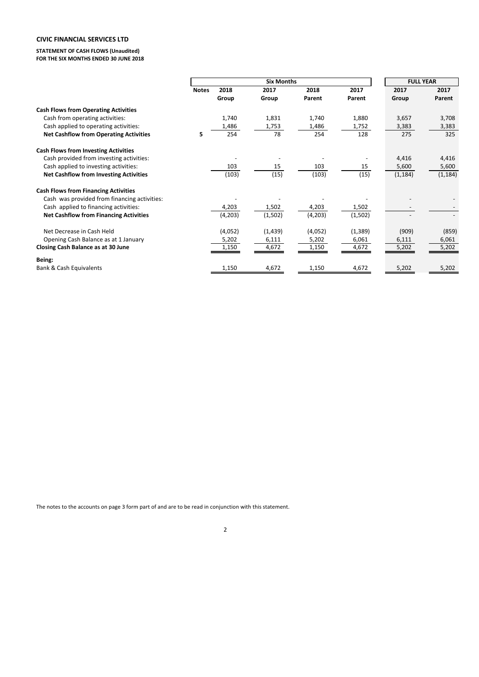# **CIVIC FINANCIAL SERVICES LTD**

**STATEMENT OF CASH FLOWS (Unaudited) FOR THE SIX MONTHS ENDED 30 JUNE 2018**

|                                               |              |         |         | <b>FULL YEAR</b> |          |          |          |
|-----------------------------------------------|--------------|---------|---------|------------------|----------|----------|----------|
|                                               | <b>Notes</b> | 2018    | 2017    | 2018             | 2017     | 2017     | 2017     |
|                                               |              | Group   | Group   | Parent           | Parent   | Group    | Parent   |
| <b>Cash Flows from Operating Activities</b>   |              |         |         |                  |          |          |          |
| Cash from operating activities:               |              | 1,740   | 1,831   | 1,740            | 1,880    | 3,657    | 3,708    |
| Cash applied to operating activities:         |              | 1,486   | 1,753   | 1,486            | 1,752    | 3,383    | 3,383    |
| <b>Net Cashflow from Operating Activities</b> | 5            | 254     | 78      | 254              | 128      | 275      | 325      |
| <b>Cash Flows from Investing Activities</b>   |              |         |         |                  |          |          |          |
| Cash provided from investing activities:      |              |         |         |                  |          | 4,416    | 4,416    |
| Cash applied to investing activities:         |              | 103     | 15      | 103              | 15       | 5,600    | 5,600    |
| <b>Net Cashflow from Investing Activities</b> |              | (103)   | (15)    | (103)            | (15)     | (1, 184) | (1, 184) |
| <b>Cash Flows from Financing Activities</b>   |              |         |         |                  |          |          |          |
| Cash was provided from financing activities:  |              |         |         |                  |          |          |          |
| Cash applied to financing activities:         |              | 4,203   | 1,502   | 4,203            | 1,502    |          |          |
| <b>Net Cashflow from Financing Activities</b> |              | (4,203) | (1,502) | (4,203)          | (1,502)  |          |          |
| Net Decrease in Cash Held                     |              | (4,052) | (1,439) | (4,052)          | (1, 389) | (909)    | (859)    |
| Opening Cash Balance as at 1 January          |              | 5,202   | 6,111   | 5,202            | 6,061    | 6,111    | 6,061    |
| Closing Cash Balance as at 30 June            |              | 1,150   | 4,672   | 1,150            | 4,672    | 5,202    | 5,202    |
| Being:                                        |              |         |         |                  |          |          |          |
| <b>Bank &amp; Cash Equivalents</b>            |              | 1,150   | 4,672   | 1,150            | 4,672    | 5,202    | 5,202    |

The notes to the accounts on page 3 form part of and are to be read in conjunction with this statement.

2